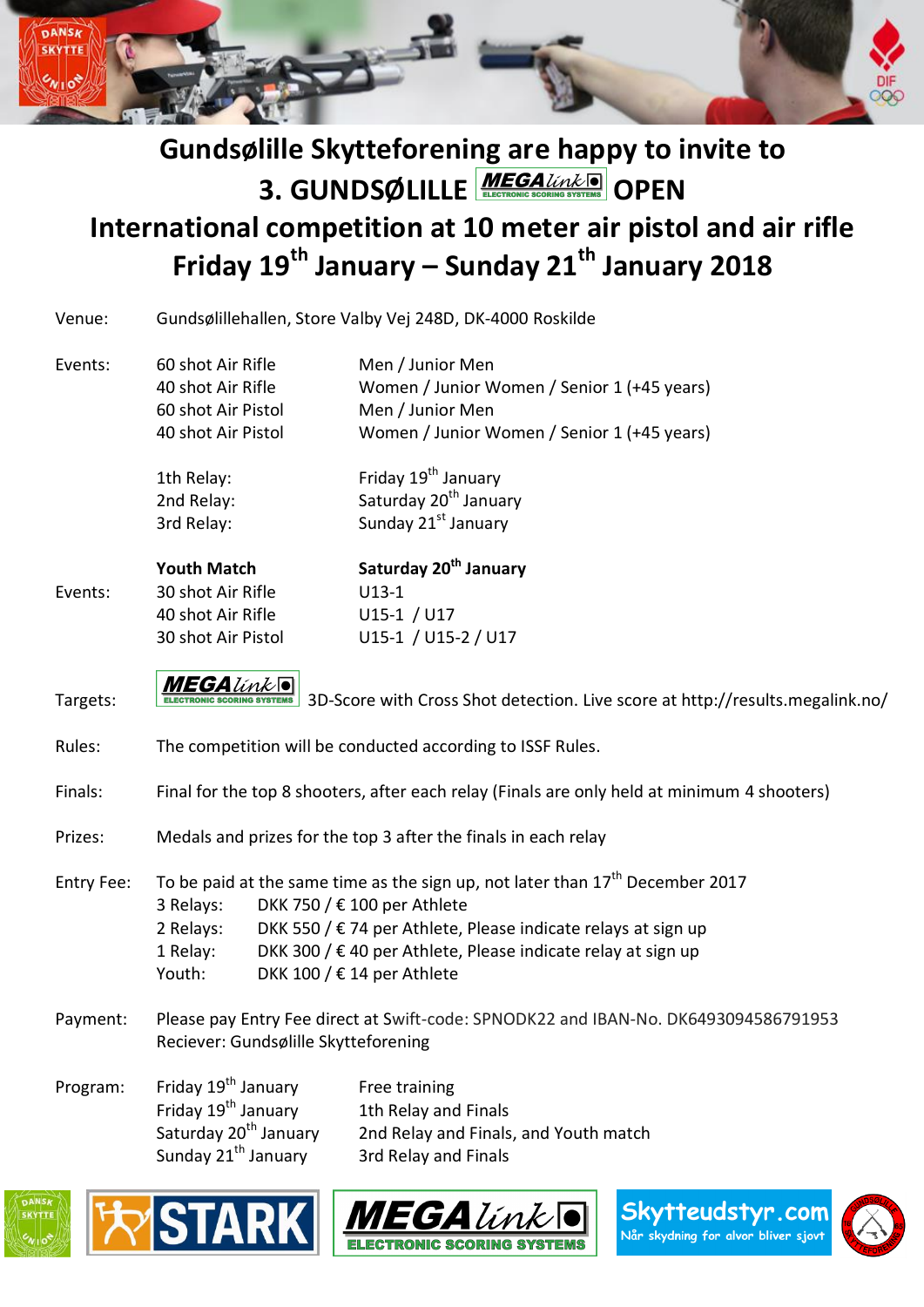

# **Gundsølille Skytteforening are happy to invite to 3. GUNDSØLILLE MEGALIVALE** OPEN

## **International competition at 10 meter air pistol and air rifle Friday 19th January – Sunday 21th January 2018**

| Gundsølillehallen, Store Valby Vej 248D, DK-4000 Roskilde<br>Venue: |  |  |
|---------------------------------------------------------------------|--|--|
|---------------------------------------------------------------------|--|--|

Events: 60 shot Air Rifle Men / Junior Men 40 shot Air Rifle Women / Junior Women / Senior 1 (+45 years) 60 shot Air Pistol Men / Junior Men 40 shot Air Pistol Women / Junior Women / Senior 1 (+45 years)

> 1th Relay: Friday 19<sup>th</sup> January 2nd Relay: Saturday 20<sup>th</sup> January 3rd Relay: Sunday 21st January

|         | <b>Youth Match</b> | Saturday 20 <sup>th</sup> January |
|---------|--------------------|-----------------------------------|
| Events: | 30 shot Air Rifle  | U <sub>13</sub> -1                |
|         | 40 shot Air Rifle  | $U15-1 / U17$                     |
|         | 30 shot Air Pistol | U15-1 / U15-2 / U17               |

Targets: MEGALink | 3D-Score with Cross Shot detection. Live score at http://results.megalink.no/

- Rules: The competition will be conducted according to ISSF Rules.
- Finals: Final for the top 8 shooters, after each relay (Finals are only held at minimum 4 shooters)
- Prizes: Medals and prizes for the top 3 after the finals in each relay

Entry Fee: To be paid at the same time as the sign up, not later than  $17<sup>th</sup>$  December 2017 3 Relays: DKK 750 / € 100 per Athlete 2 Relays: DKK 550 /  $\epsilon$  74 per Athlete, Please indicate relays at sign up 1 Relay: DKK 300 /  $\epsilon$  40 per Athlete, Please indicate relay at sign up Youth: DKK 100 /  $\epsilon$  14 per Athlete

- Payment: Please pay Entry Fee direct at Swift-code: SPNODK22 and IBAN-No. DK6493094586791953 Reciever: Gundsølille Skytteforening
- Program: Friday 19<sup>th</sup> January Free training Friday  $19^{th}$  January 1th Relay and Finals<br>Saturday  $20^{th}$  January 2nd Relay and Finals 2nd Relay and Finals, and Youth match Sunday  $21<sup>th</sup>$  January 3rd Relay and Finals







Skytteudstyr.cor Når skydning for alvor bliver sjovt